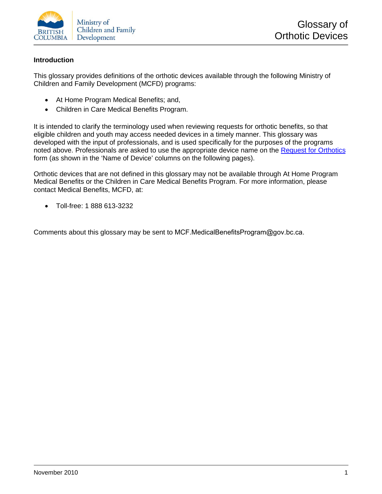

#### **Introduction**

This glossary provides definitions of the orthotic devices available through the following Ministry of Children and Family Development (MCFD) programs:

- At Home Program Medical Benefits; and,
- Children in Care Medical Benefits Program.

It is intended to clarify the terminology used when reviewing requests for orthotic benefits, so that eligible children and youth may access needed devices in a timely manner. This glossary was developed with the input of professionals, and is used specifically for the purposes of the programs noted above. Professionals are asked to use the appropriate device name on the [Request for Orthotics](http://www2.gov.bc.ca/assets/download/97CA55E3E3094C10863CA3AEDD6A0895) form (as shown in the 'Name of Device' columns on the following pages).

Orthotic devices that are not defined in this glossary may not be available through At Home Program Medical Benefits or the Children in Care Medical Benefits Program. For more information, please contact Medical Benefits, MCFD, at:

• Toll-free: 1 888 613-3232

Comments about this glossary may be sent to MCF.MedicalBenefitsProgram@gov.bc.ca.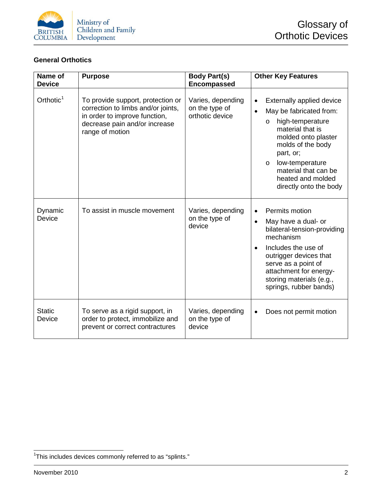

#### **General Orthotics**

| Name of<br><b>Device</b> | <b>Purpose</b>                                                                                                                                               | <b>Body Part(s)</b><br><b>Encompassed</b>              | <b>Other Key Features</b>                                                                                                                                                                                                                                                          |
|--------------------------|--------------------------------------------------------------------------------------------------------------------------------------------------------------|--------------------------------------------------------|------------------------------------------------------------------------------------------------------------------------------------------------------------------------------------------------------------------------------------------------------------------------------------|
| Orthotic <sup>1</sup>    | To provide support, protection or<br>correction to limbs and/or joints,<br>in order to improve function,<br>decrease pain and/or increase<br>range of motion | Varies, depending<br>on the type of<br>orthotic device | Externally applied device<br>May be fabricated from:<br>$\bullet$<br>high-temperature<br>$\circ$<br>material that is<br>molded onto plaster<br>molds of the body<br>part, or;<br>low-temperature<br>$\circ$<br>material that can be<br>heated and molded<br>directly onto the body |
| Dynamic<br>Device        | To assist in muscle movement                                                                                                                                 | Varies, depending<br>on the type of<br>device          | Permits motion<br>$\bullet$<br>May have a dual- or<br>$\bullet$<br>bilateral-tension-providing<br>mechanism<br>Includes the use of<br>outrigger devices that<br>serve as a point of<br>attachment for energy-<br>storing materials (e.g.,<br>springs, rubber bands)                |
| <b>Static</b><br>Device  | To serve as a rigid support, in<br>order to protect, immobilize and<br>prevent or correct contractures                                                       | Varies, depending<br>on the type of<br>device          | Does not permit motion                                                                                                                                                                                                                                                             |

<span id="page-1-0"></span>1 This includes devices commonly referred to as "splints."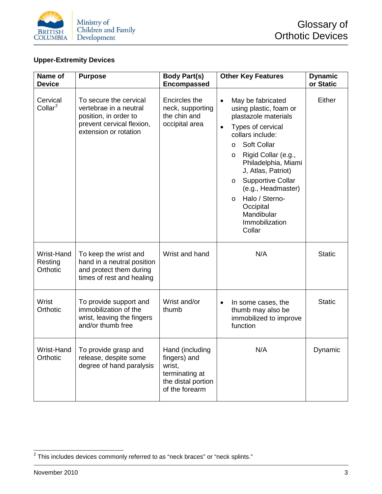

# **Upper-Extremity Devices**

| Name of<br><b>Device</b>          | <b>Purpose</b>                                                                                                                  | <b>Body Part(s)</b><br><b>Encompassed</b>                                                           | <b>Other Key Features</b>                                                                                                                                                                                                                                                                                                                                                                        | <b>Dynamic</b><br>or Static |
|-----------------------------------|---------------------------------------------------------------------------------------------------------------------------------|-----------------------------------------------------------------------------------------------------|--------------------------------------------------------------------------------------------------------------------------------------------------------------------------------------------------------------------------------------------------------------------------------------------------------------------------------------------------------------------------------------------------|-----------------------------|
| Cervical<br>Collar <sup>2</sup>   | To secure the cervical<br>vertebrae in a neutral<br>position, in order to<br>prevent cervical flexion,<br>extension or rotation | Encircles the<br>neck, supporting<br>the chin and<br>occipital area                                 | May be fabricated<br>$\bullet$<br>using plastic, foam or<br>plastazole materials<br>Types of cervical<br>$\bullet$<br>collars include:<br>Soft Collar<br>$\circ$<br>Rigid Collar (e.g.,<br>$\circ$<br>Philadelphia, Miami<br>J, Atlas, Patriot)<br><b>Supportive Collar</b><br>$\circ$<br>(e.g., Headmaster)<br>Halo / Sterno-<br>$\circ$<br>Occipital<br>Mandibular<br>Immobilization<br>Collar | Either                      |
| Wrist-Hand<br>Resting<br>Orthotic | To keep the wrist and<br>hand in a neutral position<br>and protect them during<br>times of rest and healing                     | Wrist and hand                                                                                      | N/A                                                                                                                                                                                                                                                                                                                                                                                              | <b>Static</b>               |
| Wrist<br>Orthotic                 | To provide support and<br>immobilization of the<br>wrist, leaving the fingers<br>and/or thumb free                              | Wrist and/or<br>thumb                                                                               | In some cases, the<br>thumb may also be<br>immobilized to improve<br>function                                                                                                                                                                                                                                                                                                                    | <b>Static</b>               |
| Orthotic                          | Wrist-Hand   To provide grasp and<br>release, despite some<br>degree of hand paralysis                                          | Hand (including<br>fingers) and<br>wrist,<br>terminating at<br>the distal portion<br>of the forearm | N/A                                                                                                                                                                                                                                                                                                                                                                                              | Dynamic                     |

<span id="page-2-0"></span> $2$  This includes devices commonly referred to as "neck braces" or "neck splints."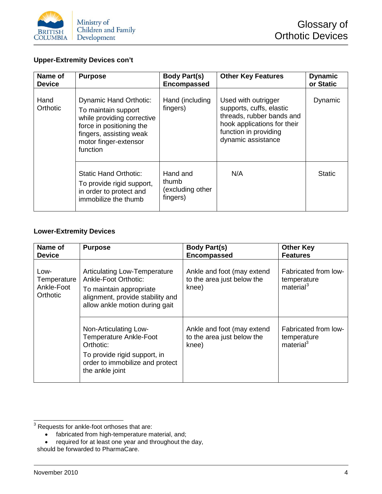

# **Upper-Extremity Devices con't**

| Name of<br><b>Device</b> | <b>Purpose</b>                                                                                                                                                                 | <b>Body Part(s)</b><br><b>Encompassed</b>         | <b>Other Key Features</b>                                                                                                                                  | <b>Dynamic</b><br>or Static |
|--------------------------|--------------------------------------------------------------------------------------------------------------------------------------------------------------------------------|---------------------------------------------------|------------------------------------------------------------------------------------------------------------------------------------------------------------|-----------------------------|
| Hand<br>Orthotic         | <b>Dynamic Hand Orthotic:</b><br>To maintain support<br>while providing corrective<br>force in positioning the<br>fingers, assisting weak<br>motor finger-extensor<br>function | Hand (including<br>fingers)                       | Used with outrigger<br>supports, cuffs, elastic<br>threads, rubber bands and<br>hook applications for their<br>function in providing<br>dynamic assistance | Dynamic                     |
|                          | <b>Static Hand Orthotic:</b><br>To provide rigid support,<br>in order to protect and<br>immobilize the thumb                                                                   | Hand and<br>thumb<br>(excluding other<br>fingers) | N/A                                                                                                                                                        | <b>Static</b>               |

#### **Lower-Extremity Devices**

| Name of                                       | <b>Purpose</b>                                                                                                                                                      | <b>Body Part(s)</b>                                               | <b>Other Key</b>                                             |
|-----------------------------------------------|---------------------------------------------------------------------------------------------------------------------------------------------------------------------|-------------------------------------------------------------------|--------------------------------------------------------------|
| <b>Device</b>                                 |                                                                                                                                                                     | <b>Encompassed</b>                                                | <b>Features</b>                                              |
| Low-<br>Temperature<br>Ankle-Foot<br>Orthotic | <b>Articulating Low-Temperature</b><br><b>Ankle-Foot Orthotic:</b><br>To maintain appropriate<br>alignment, provide stability and<br>allow ankle motion during gait | Ankle and foot (may extend<br>to the area just below the<br>knee) | Fabricated from low-<br>temperature<br>material <sup>3</sup> |
|                                               | Non-Articulating Low-<br><b>Temperature Ankle-Foot</b><br>Orthotic:<br>To provide rigid support, in<br>order to immobilize and protect<br>the ankle joint           | Ankle and foot (may extend<br>to the area just below the<br>knee) | Fabricated from low-<br>temperature<br>material <sup>3</sup> |

<span id="page-3-0"></span> $3$  Requests for ankle-foot orthoses that are:

<sup>•</sup> fabricated from high-temperature material, and;<br>• required for at least one year and throughout the

<sup>•</sup> required for at least one year and throughout the day,

should be forwarded to PharmaCare.